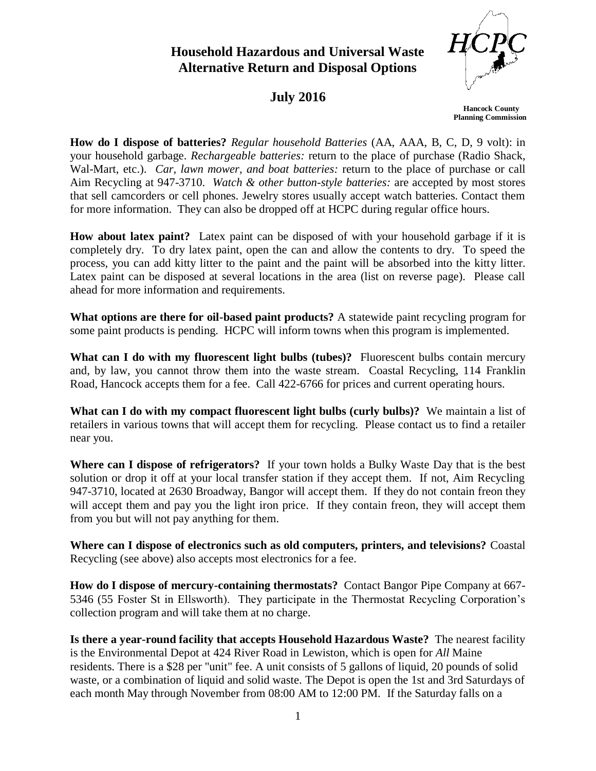## **Household Hazardous and Universal Waste Alternative Return and Disposal Options**



## **July 2016**

 **Hancock County Planning Commission**

**How do I dispose of batteries?** *Regular household Batteries* (AA, AAA, B, C, D, 9 volt): in your household garbage. *Rechargeable batteries:* return to the place of purchase (Radio Shack, Wal-Mart, etc.). *Car, lawn mower, and boat batteries:* return to the place of purchase or call Aim Recycling at 947-3710. *Watch & other button-style batteries:* are accepted by most stores that sell camcorders or cell phones. Jewelry stores usually accept watch batteries. Contact them for more information. They can also be dropped off at HCPC during regular office hours.

**How about latex paint?** Latex paint can be disposed of with your household garbage if it is completely dry. To dry latex paint, open the can and allow the contents to dry. To speed the process, you can add kitty litter to the paint and the paint will be absorbed into the kitty litter. Latex paint can be disposed at several locations in the area (list on reverse page). Please call ahead for more information and requirements.

**What options are there for oil-based paint products?** A statewide paint recycling program for some paint products is pending. HCPC will inform towns when this program is implemented.

**What can I do with my fluorescent light bulbs (tubes)?** Fluorescent bulbs contain mercury and, by law, you cannot throw them into the waste stream. Coastal Recycling, 114 Franklin Road, Hancock accepts them for a fee. Call 422-6766 for prices and current operating hours.

**What can I do with my compact fluorescent light bulbs (curly bulbs)?** We maintain a list of retailers in various towns that will accept them for recycling. Please contact us to find a retailer near you.

**Where can I dispose of refrigerators?** If your town holds a Bulky Waste Day that is the best solution or drop it off at your local transfer station if they accept them. If not, Aim Recycling 947-3710, located at 2630 Broadway, Bangor will accept them. If they do not contain freon they will accept them and pay you the light iron price. If they contain freon, they will accept them from you but will not pay anything for them.

**Where can I dispose of electronics such as old computers, printers, and televisions?** Coastal Recycling (see above) also accepts most electronics for a fee.

**How do I dispose of mercury-containing thermostats?** Contact Bangor Pipe Company at 667- 5346 (55 Foster St in Ellsworth). They participate in the Thermostat Recycling Corporation's collection program and will take them at no charge.

**Is there a year-round facility that accepts Household Hazardous Waste?** The nearest facility is the Environmental Depot at 424 River Road in Lewiston, which is open for *All* Maine residents. There is a \$28 per "unit" fee. A unit consists of 5 gallons of liquid, 20 pounds of solid waste, or a combination of liquid and solid waste. The Depot is open the 1st and 3rd Saturdays of each month May through November from 08:00 AM to 12:00 PM. If the Saturday falls on a